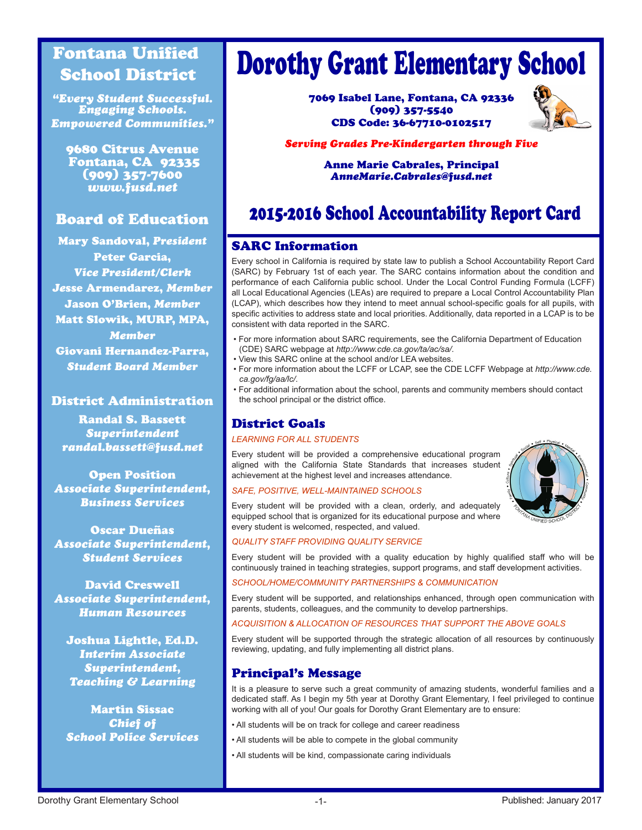# Fontana Unified School District

*"Every Student Successful. Engaging Schools. Empowered Communities."*

9680 Citrus Avenue Fontana, CA 92335 (909) 357-7600 *www.fusd.net*

# Board of Education

Mary Sandoval, *President* Peter Garcia, *Vice President/Clerk Je*sse Armendarez, *Member* Jason O'Brien, *Member* Matt Slowik, MURP, MPA, *Member* Giovani Hernandez-Parra, *Student Board Member*

### District Administration

Randal S. Bassett *Superintendent randal.bassett@fusd.net*

Open Position *Associate Superintendent, Business Services*

Oscar Dueñas *Associate Superintendent, Student Services*

David Creswell *Associate Superintendent, Human Resources*

Joshua Lightle, Ed.D. *Interim Associate Superintendent, Teaching & Learning*

Martin Sissac *Chief of School Police Services*

# Dorothy Grant Elementary School

7069 Isabel Lane, Fontana, CA 92336 (909) 357-5540 CDS Code: 36-67710-0102517



#### *Serving Grades Pre-Kindergarten through Five*

Anne Marie Cabrales, Principal *AnneMarie.Cabrales@fusd.net*

# 2015-2016 School Accountability Report Card

# SARC Information

Every school in California is required by state law to publish a School Accountability Report Card (SARC) by February 1st of each year. The SARC contains information about the condition and performance of each California public school. Under the Local Control Funding Formula (LCFF) all Local Educational Agencies (LEAs) are required to prepare a Local Control Accountability Plan (LCAP), which describes how they intend to meet annual school-specific goals for all pupils, with specific activities to address state and local priorities. Additionally, data reported in a LCAP is to be consistent with data reported in the SARC.

- For more information about SARC requirements, see the California Department of Education (CDE) SARC webpage at *http://www.cde.ca.gov/ta/ac/sa/*.
- View this SARC online at the school and/or LEA websites.
- For more information about the LCFF or LCAP, see the CDE LCFF Webpage at *http://www.cde. ca.gov/fg/aa/lc/*.
- For additional information about the school, parents and community members should contact the school principal or the district office.

# District Goals

#### *LEARNING FOR ALL STUDENTS*

Every student will be provided a comprehensive educational program aligned with the California State Standards that increases student achievement at the highest level and increases attendance.

#### *SAFE, POSITIVE, WELL-MAINTAINED SCHOOLS*



Every student will be provided with a clean, orderly, and adequately equipped school that is organized for its educational purpose and where every student is welcomed, respected, and valued.

#### *QUALITY STAFF PROVIDING QUALITY SERVICE*

Every student will be provided with a quality education by highly qualified staff who will be continuously trained in teaching strategies, support programs, and staff development activities.

#### *SCHOOL/HOME/COMMUNITY PARTNERSHIPS & COMMUNICATION*

Every student will be supported, and relationships enhanced, through open communication with parents, students, colleagues, and the community to develop partnerships.

*ACQUISITION & ALLOCATION OF RESOURCES THAT SUPPORT THE ABOVE GOALS* 

Every student will be supported through the strategic allocation of all resources by continuously reviewing, updating, and fully implementing all district plans.

# Principal's Message

It is a pleasure to serve such a great community of amazing students, wonderful families and a dedicated staff. As I begin my 5th year at Dorothy Grant Elementary, I feel privileged to continue working with all of you! Our goals for Dorothy Grant Elementary are to ensure:

- All students will be on track for college and career readiness
- All students will be able to compete in the global community
- All students will be kind, compassionate caring individuals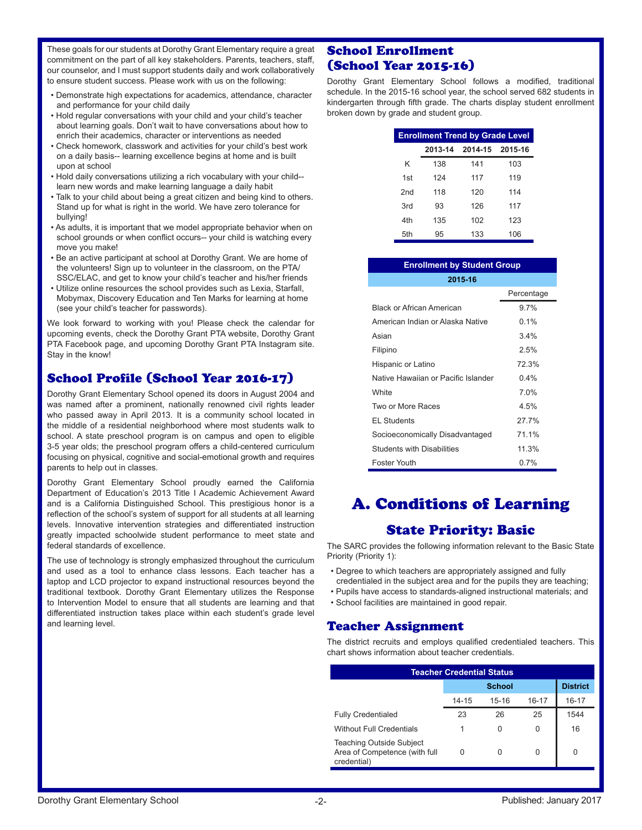These goals for our students at Dorothy Grant Elementary require a great commitment on the part of all key stakeholders. Parents, teachers, staff, our counselor, and I must support students daily and work collaboratively to ensure student success. Please work with us on the following:

- Demonstrate high expectations for academics, attendance, character and performance for your child daily
- Hold regular conversations with your child and your child's teacher about learning goals. Don't wait to have conversations about how to enrich their academics, character or interventions as needed
- Check homework, classwork and activities for your child's best work on a daily basis-- learning excellence begins at home and is built upon at school
- Hold daily conversations utilizing a rich vocabulary with your child- learn new words and make learning language a daily habit
- Talk to your child about being a great citizen and being kind to others. Stand up for what is right in the world. We have zero tolerance for bullying!
- As adults, it is important that we model appropriate behavior when on school grounds or when conflict occurs-- your child is watching every move you make!
- Be an active participant at school at Dorothy Grant. We are home of the volunteers! Sign up to volunteer in the classroom, on the PTA/ SSC/ELAC, and get to know your child's teacher and his/her friends
- Utilize online resources the school provides such as Lexia, Starfall, Mobymax, Discovery Education and Ten Marks for learning at home (see your child's teacher for passwords).

We look forward to working with you! Please check the calendar for upcoming events, check the Dorothy Grant PTA website, Dorothy Grant PTA Facebook page, and upcoming Dorothy Grant PTA Instagram site. Stay in the know!

# School Profile (School Year 2016-17)

Dorothy Grant Elementary School opened its doors in August 2004 and was named after a prominent, nationally renowned civil rights leader who passed away in April 2013. It is a community school located in the middle of a residential neighborhood where most students walk to school. A state preschool program is on campus and open to eligible 3-5 year olds; the preschool program offers a child-centered curriculum focusing on physical, cognitive and social-emotional growth and requires parents to help out in classes.

Dorothy Grant Elementary School proudly earned the California Department of Education's 2013 Title I Academic Achievement Award and is a California Distinguished School. This prestigious honor is a reflection of the school's system of support for all students at all learning levels. Innovative intervention strategies and differentiated instruction greatly impacted schoolwide student performance to meet state and federal standards of excellence.

The use of technology is strongly emphasized throughout the curriculum and used as a tool to enhance class lessons. Each teacher has a laptop and LCD projector to expand instructional resources beyond the traditional textbook. Dorothy Grant Elementary utilizes the Response to Intervention Model to ensure that all students are learning and that differentiated instruction takes place within each student's grade level and learning level.

# School Enrollment (School Year 2015-16)

Dorothy Grant Elementary School follows a modified, traditional schedule. In the 2015-16 school year, the school served 682 students in kindergarten through fifth grade. The charts display student enrollment broken down by grade and student group.

| <b>Enrollment Trend by Grade Level</b> |         |                 |     |  |  |  |  |  |  |
|----------------------------------------|---------|-----------------|-----|--|--|--|--|--|--|
|                                        | 2013-14 | 2014-15 2015-16 |     |  |  |  |  |  |  |
| Κ                                      | 138     | 141             | 103 |  |  |  |  |  |  |
| 1st                                    | 124     | 117             | 119 |  |  |  |  |  |  |
| 2nd                                    | 118     | 120             | 114 |  |  |  |  |  |  |
| 3rd                                    | 93      | 126             | 117 |  |  |  |  |  |  |
| 4th                                    | 135     | 102             | 123 |  |  |  |  |  |  |
| 5th                                    | 95      | 133             | 106 |  |  |  |  |  |  |

| <b>Enrollment by Student Group</b>  |            |  |  |  |  |  |  |  |  |
|-------------------------------------|------------|--|--|--|--|--|--|--|--|
| 2015-16                             |            |  |  |  |  |  |  |  |  |
|                                     | Percentage |  |  |  |  |  |  |  |  |
| <b>Black or African American</b>    | 97%        |  |  |  |  |  |  |  |  |
| American Indian or Alaska Native    | $0.1\%$    |  |  |  |  |  |  |  |  |
| Asian                               | $3.4\%$    |  |  |  |  |  |  |  |  |
| Filipino                            | 2.5%       |  |  |  |  |  |  |  |  |
| Hispanic or Latino                  | 72.3%      |  |  |  |  |  |  |  |  |
| Native Hawaiian or Pacific Islander | $0.4\%$    |  |  |  |  |  |  |  |  |
| White                               | 7.0%       |  |  |  |  |  |  |  |  |
| Two or More Races                   | 4.5%       |  |  |  |  |  |  |  |  |
| <b>EL Students</b>                  | 27.7%      |  |  |  |  |  |  |  |  |
| Socioeconomically Disadvantaged     | 71.1%      |  |  |  |  |  |  |  |  |
| <b>Students with Disabilities</b>   | 11.3%      |  |  |  |  |  |  |  |  |
| Foster Youth                        | $0.7\%$    |  |  |  |  |  |  |  |  |

# A. Conditions of Learning

# State Priority: Basic

The SARC provides the following information relevant to the Basic State Priority (Priority 1):

- Degree to which teachers are appropriately assigned and fully credentialed in the subject area and for the pupils they are teaching;
- Pupils have access to standards-aligned instructional materials; and
- School facilities are maintained in good repair.

#### Teacher Assignment

The district recruits and employs qualified credentialed teachers. This chart shows information about teacher credentials.

| <b>Teacher Credential Status</b>                                                |       |               |       |       |  |  |  |  |  |
|---------------------------------------------------------------------------------|-------|---------------|-------|-------|--|--|--|--|--|
|                                                                                 |       | <b>School</b> |       |       |  |  |  |  |  |
|                                                                                 | 14-15 | $15 - 16$     | 16-17 | 16-17 |  |  |  |  |  |
| <b>Fully Credentialed</b>                                                       | 23    | 26            | 25    | 1544  |  |  |  |  |  |
| <b>Without Full Credentials</b>                                                 |       | O             | 0     | 16    |  |  |  |  |  |
| <b>Teaching Outside Subject</b><br>Area of Competence (with full<br>credential) |       |               | 0     | O     |  |  |  |  |  |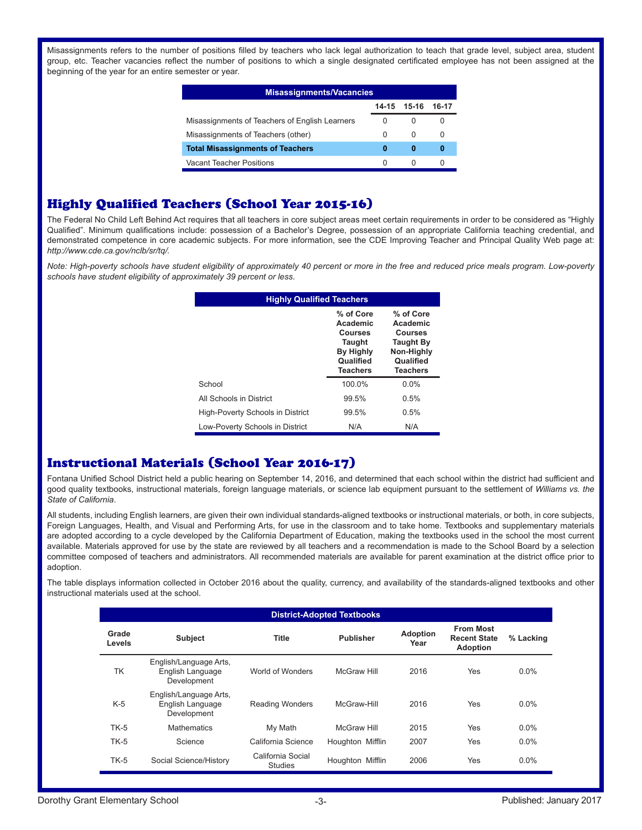Misassignments refers to the number of positions filled by teachers who lack legal authorization to teach that grade level, subject area, student group, etc. Teacher vacancies reflect the number of positions to which a single designated certificated employee has not been assigned at the beginning of the year for an entire semester or year.

| <b>Misassignments/Vacancies</b>                |          |             |                  |  |  |  |  |  |  |
|------------------------------------------------|----------|-------------|------------------|--|--|--|--|--|--|
|                                                |          | 14-15 15-16 | 16-17            |  |  |  |  |  |  |
| Misassignments of Teachers of English Learners | 0        | 0           | $\left( \right)$ |  |  |  |  |  |  |
| Misassignments of Teachers (other)             | $\Omega$ | $\Omega$    | $\Omega$         |  |  |  |  |  |  |
| <b>Total Misassignments of Teachers</b>        | 0        | 0           |                  |  |  |  |  |  |  |
| Vacant Teacher Positions                       | O        |             |                  |  |  |  |  |  |  |

# Highly Qualified Teachers (School Year 2015-16)

The Federal No Child Left Behind Act requires that all teachers in core subject areas meet certain requirements in order to be considered as "Highly Qualified". Minimum qualifications include: possession of a Bachelor's Degree, possession of an appropriate California teaching credential, and demonstrated competence in core academic subjects. For more information, see the CDE Improving Teacher and Principal Quality Web page at: *http://www.cde.ca.gov/nclb/sr/tq/.*

*Note: High-poverty schools have student eligibility of approximately 40 percent or more in the free and reduced price meals program. Low-poverty schools have student eligibility of approximately 39 percent or less.*

| <b>Highly Qualified Teachers</b> |                                                                                                              |                                                                                                           |  |  |  |  |  |  |
|----------------------------------|--------------------------------------------------------------------------------------------------------------|-----------------------------------------------------------------------------------------------------------|--|--|--|--|--|--|
|                                  | % of Core<br>Academic<br><b>Courses</b><br><b>Taught</b><br><b>By Highly</b><br>Qualified<br><b>Teachers</b> | % of Core<br>Academic<br><b>Courses</b><br><b>Taught By</b><br>Non-Highly<br>Qualified<br><b>Teachers</b> |  |  |  |  |  |  |
| School                           | 100.0%                                                                                                       | $0.0\%$                                                                                                   |  |  |  |  |  |  |
| All Schools in District          | 99.5%                                                                                                        | 0.5%                                                                                                      |  |  |  |  |  |  |
| High-Poverty Schools in District | 99.5%                                                                                                        | 0.5%                                                                                                      |  |  |  |  |  |  |
| Low-Poverty Schools in District  | N/A                                                                                                          | N/A                                                                                                       |  |  |  |  |  |  |

# Instructional Materials (School Year 2016-17)

Fontana Unified School District held a public hearing on September 14, 2016, and determined that each school within the district had sufficient and good quality textbooks, instructional materials, foreign language materials, or science lab equipment pursuant to the settlement of *Williams vs. the State of California*.

All students, including English learners, are given their own individual standards-aligned textbooks or instructional materials, or both, in core subjects, Foreign Languages, Health, and Visual and Performing Arts, for use in the classroom and to take home. Textbooks and supplementary materials are adopted according to a cycle developed by the California Department of Education, making the textbooks used in the school the most current available. Materials approved for use by the state are reviewed by all teachers and a recommendation is made to the School Board by a selection committee composed of teachers and administrators. All recommended materials are available for parent examination at the district office prior to adoption.

The table displays information collected in October 2016 about the quality, currency, and availability of the standards-aligned textbooks and other instructional materials used at the school.

| <b>District-Adopted Textbooks</b> |                                                           |                                     |                  |                         |                                                            |           |  |  |  |
|-----------------------------------|-----------------------------------------------------------|-------------------------------------|------------------|-------------------------|------------------------------------------------------------|-----------|--|--|--|
| Grade<br>Levels                   | <b>Subject</b>                                            | <b>Title</b>                        | <b>Publisher</b> | <b>Adoption</b><br>Year | <b>From Most</b><br><b>Recent State</b><br><b>Adoption</b> | % Lacking |  |  |  |
| TK                                | English/Language Arts,<br>English Language<br>Development | World of Wonders                    | McGraw Hill      | 2016                    | Yes                                                        | $0.0\%$   |  |  |  |
| $K-5$                             | English/Language Arts,<br>English Language<br>Development | <b>Reading Wonders</b>              | McGraw-Hill      | 2016                    | Yes                                                        | $0.0\%$   |  |  |  |
| $TK-5$                            | <b>Mathematics</b>                                        | My Math                             | McGraw Hill      | 2015                    | Yes                                                        | $0.0\%$   |  |  |  |
| $TK-5$                            | Science                                                   | California Science                  | Houghton Mifflin | 2007                    | Yes                                                        | $0.0\%$   |  |  |  |
| $TK-5$                            | Social Science/History                                    | California Social<br><b>Studies</b> | Houghton Mifflin | 2006                    | Yes                                                        | $0.0\%$   |  |  |  |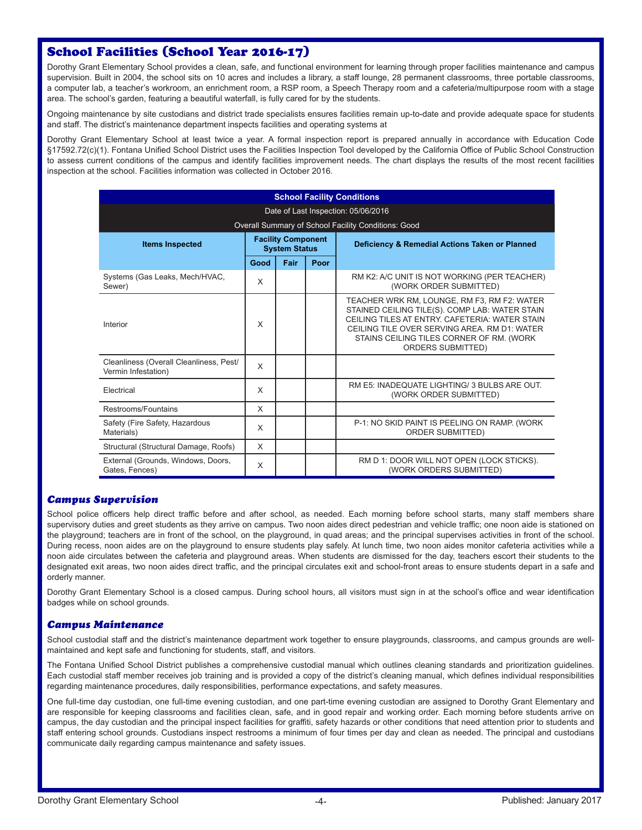# School Facilities (School Year 2016-17)

Dorothy Grant Elementary School provides a clean, safe, and functional environment for learning through proper facilities maintenance and campus supervision. Built in 2004, the school sits on 10 acres and includes a library, a staff lounge, 28 permanent classrooms, three portable classrooms, a computer lab, a teacher's workroom, an enrichment room, a RSP room, a Speech Therapy room and a cafeteria/multipurpose room with a stage area. The school's garden, featuring a beautiful waterfall, is fully cared for by the students.

Ongoing maintenance by site custodians and district trade specialists ensures facilities remain up-to-date and provide adequate space for students and staff. The district's maintenance department inspects facilities and operating systems at

Dorothy Grant Elementary School at least twice a year. A formal inspection report is prepared annually in accordance with Education Code §17592.72(c)(1). Fontana Unified School District uses the Facilities Inspection Tool developed by the California Office of Public School Construction to assess current conditions of the campus and identify facilities improvement needs. The chart displays the results of the most recent facilities inspection at the school. Facilities information was collected in October 2016.

| <b>School Facility Conditions</b>                              |      |                                                   |      |                                                                                                                                                                                                                                                                       |  |  |  |  |  |  |
|----------------------------------------------------------------|------|---------------------------------------------------|------|-----------------------------------------------------------------------------------------------------------------------------------------------------------------------------------------------------------------------------------------------------------------------|--|--|--|--|--|--|
| Date of Last Inspection: 05/06/2016                            |      |                                                   |      |                                                                                                                                                                                                                                                                       |  |  |  |  |  |  |
| Overall Summary of School Facility Conditions: Good            |      |                                                   |      |                                                                                                                                                                                                                                                                       |  |  |  |  |  |  |
| <b>Items Inspected</b>                                         |      | <b>Facility Component</b><br><b>System Status</b> |      | Deficiency & Remedial Actions Taken or Planned                                                                                                                                                                                                                        |  |  |  |  |  |  |
|                                                                | Good | Fair                                              | Poor |                                                                                                                                                                                                                                                                       |  |  |  |  |  |  |
| Systems (Gas Leaks, Mech/HVAC,<br>Sewer)                       | X    |                                                   |      | RM K2: A/C UNIT IS NOT WORKING (PER TEACHER)<br>(WORK ORDER SUBMITTED)                                                                                                                                                                                                |  |  |  |  |  |  |
| Interior                                                       | X    |                                                   |      | TEACHER WRK RM, LOUNGE, RM F3, RM F2: WATER<br>STAINED CEILING TILE(S). COMP LAB: WATER STAIN<br>CEILING TILES AT ENTRY CAFETERIA: WATER STAIN<br>CFILING TILE OVER SERVING AREA RM D1: WATER<br>STAINS CEILING TILES CORNER OF RM. (WORK<br><b>ORDERS SUBMITTED)</b> |  |  |  |  |  |  |
| Cleanliness (Overall Cleanliness, Pest/<br>Vermin Infestation) | X    |                                                   |      |                                                                                                                                                                                                                                                                       |  |  |  |  |  |  |
| Electrical                                                     | X    |                                                   |      | RM E5: INADEQUATE LIGHTING/ 3 BULBS ARE OUT.<br>(WORK ORDER SUBMITTED)                                                                                                                                                                                                |  |  |  |  |  |  |
| Restrooms/Fountains                                            | X    |                                                   |      |                                                                                                                                                                                                                                                                       |  |  |  |  |  |  |
| Safety (Fire Safety, Hazardous<br>Materials)                   | X    |                                                   |      | P-1: NO SKID PAINT IS PEELING ON RAMP. (WORK<br><b>ORDER SUBMITTED)</b>                                                                                                                                                                                               |  |  |  |  |  |  |
| Structural (Structural Damage, Roofs)                          | X    |                                                   |      |                                                                                                                                                                                                                                                                       |  |  |  |  |  |  |
| External (Grounds, Windows, Doors,<br>Gates, Fences)           | X    |                                                   |      | RM D 1: DOOR WILL NOT OPEN (LOCK STICKS).<br>(WORK ORDERS SUBMITTED)                                                                                                                                                                                                  |  |  |  |  |  |  |

#### *Campus Supervision*

School police officers help direct traffic before and after school, as needed. Each morning before school starts, many staff members share supervisory duties and greet students as they arrive on campus. Two noon aides direct pedestrian and vehicle traffic; one noon aide is stationed on the playground; teachers are in front of the school, on the playground, in quad areas; and the principal supervises activities in front of the school. During recess, noon aides are on the playground to ensure students play safely. At lunch time, two noon aides monitor cafeteria activities while a noon aide circulates between the cafeteria and playground areas. When students are dismissed for the day, teachers escort their students to the designated exit areas, two noon aides direct traffic, and the principal circulates exit and school-front areas to ensure students depart in a safe and orderly manner.

Dorothy Grant Elementary School is a closed campus. During school hours, all visitors must sign in at the school's office and wear identification badges while on school grounds.

#### *Campus Maintenance*

School custodial staff and the district's maintenance department work together to ensure playgrounds, classrooms, and campus grounds are wellmaintained and kept safe and functioning for students, staff, and visitors.

The Fontana Unified School District publishes a comprehensive custodial manual which outlines cleaning standards and prioritization guidelines. Each custodial staff member receives job training and is provided a copy of the district's cleaning manual, which defines individual responsibilities regarding maintenance procedures, daily responsibilities, performance expectations, and safety measures.

One full-time day custodian, one full-time evening custodian, and one part-time evening custodian are assigned to Dorothy Grant Elementary and are responsible for keeping classrooms and facilities clean, safe, and in good repair and working order. Each morning before students arrive on campus, the day custodian and the principal inspect facilities for graffiti, safety hazards or other conditions that need attention prior to students and staff entering school grounds. Custodians inspect restrooms a minimum of four times per day and clean as needed. The principal and custodians communicate daily regarding campus maintenance and safety issues.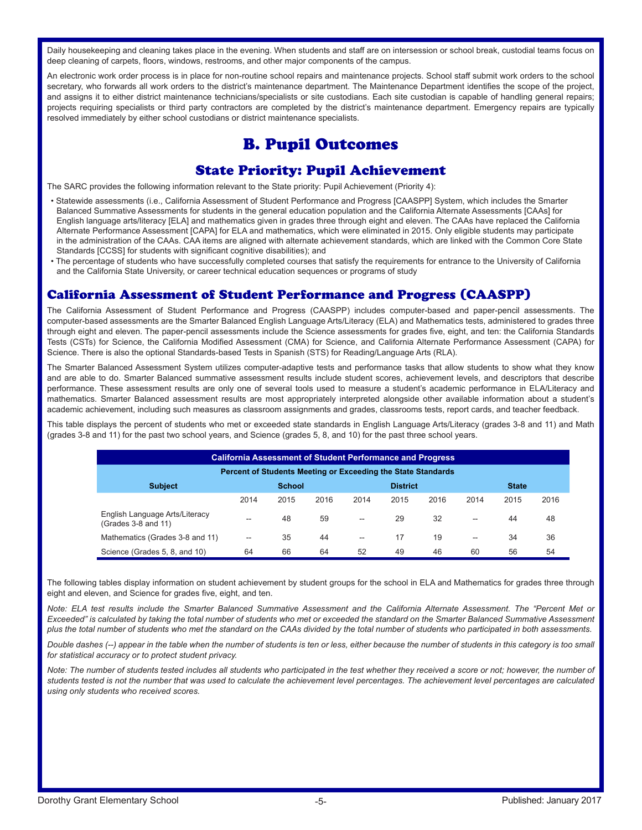Daily housekeeping and cleaning takes place in the evening. When students and staff are on intersession or school break, custodial teams focus on deep cleaning of carpets, floors, windows, restrooms, and other major components of the campus.

An electronic work order process is in place for non-routine school repairs and maintenance projects. School staff submit work orders to the school secretary, who forwards all work orders to the district's maintenance department. The Maintenance Department identifies the scope of the project, and assigns it to either district maintenance technicians/specialists or site custodians. Each site custodian is capable of handling general repairs; projects requiring specialists or third party contractors are completed by the district's maintenance department. Emergency repairs are typically resolved immediately by either school custodians or district maintenance specialists.

# B. Pupil Outcomes

### State Priority: Pupil Achievement

The SARC provides the following information relevant to the State priority: Pupil Achievement (Priority 4):

- Statewide assessments (i.e., California Assessment of Student Performance and Progress [CAASPP] System, which includes the Smarter Balanced Summative Assessments for students in the general education population and the California Alternate Assessments [CAAs] for English language arts/literacy [ELA] and mathematics given in grades three through eight and eleven. The CAAs have replaced the California Alternate Performance Assessment [CAPA] for ELA and mathematics, which were eliminated in 2015. Only eligible students may participate in the administration of the CAAs. CAA items are aligned with alternate achievement standards, which are linked with the Common Core State Standards [CCSS] for students with significant cognitive disabilities); and
- The percentage of students who have successfully completed courses that satisfy the requirements for entrance to the University of California and the California State University, or career technical education sequences or programs of study

#### California Assessment of Student Performance and Progress (CAASPP)

The California Assessment of Student Performance and Progress (CAASPP) includes computer-based and paper-pencil assessments. The computer-based assessments are the Smarter Balanced English Language Arts/Literacy (ELA) and Mathematics tests, administered to grades three through eight and eleven. The paper-pencil assessments include the Science assessments for grades five, eight, and ten: the California Standards Tests (CSTs) for Science, the California Modified Assessment (CMA) for Science, and California Alternate Performance Assessment (CAPA) for Science. There is also the optional Standards-based Tests in Spanish (STS) for Reading/Language Arts (RLA).

The Smarter Balanced Assessment System utilizes computer-adaptive tests and performance tasks that allow students to show what they know and are able to do. Smarter Balanced summative assessment results include student scores, achievement levels, and descriptors that describe performance. These assessment results are only one of several tools used to measure a student's academic performance in ELA/Literacy and mathematics. Smarter Balanced assessment results are most appropriately interpreted alongside other available information about a student's academic achievement, including such measures as classroom assignments and grades, classrooms tests, report cards, and teacher feedback.

This table displays the percent of students who met or exceeded state standards in English Language Arts/Literacy (grades 3-8 and 11) and Math (grades 3-8 and 11) for the past two school years, and Science (grades 5, 8, and 10) for the past three school years.

| <b>California Assessment of Student Performance and Progress</b> |      |               |      |      |                 |      |      |              |      |
|------------------------------------------------------------------|------|---------------|------|------|-----------------|------|------|--------------|------|
| Percent of Students Meeting or Exceeding the State Standards     |      |               |      |      |                 |      |      |              |      |
| <b>Subject</b>                                                   |      | <b>School</b> |      |      | <b>District</b> |      |      | <b>State</b> |      |
|                                                                  | 2014 | 2015          | 2016 | 2014 | 2015            | 2016 | 2014 | 2015         | 2016 |
| English Language Arts/Literacy<br>(Grades 3-8 and 11)            | --   | 48            | 59   | --   | 29              | 32   | --   | 44           | 48   |
| Mathematics (Grades 3-8 and 11)                                  | --   | 35            | 44   | --   | 17              | 19   | --   | 34           | 36   |
| Science (Grades 5, 8, and 10)                                    | 64   | 66            | 64   | 52   | 49              | 46   | 60   | 56           | 54   |

The following tables display information on student achievement by student groups for the school in ELA and Mathematics for grades three through eight and eleven, and Science for grades five, eight, and ten.

*Note: ELA test results include the Smarter Balanced Summative Assessment and the California Alternate Assessment. The "Percent Met or Exceeded" is calculated by taking the total number of students who met or exceeded the standard on the Smarter Balanced Summative Assessment plus the total number of students who met the standard on the CAAs divided by the total number of students who participated in both assessments.*

*Double dashes (--) appear in the table when the number of students is ten or less, either because the number of students in this category is too small for statistical accuracy or to protect student privacy.*

Note: The number of students tested includes all students who participated in the test whether they received a score or not; however, the number of *students tested is not the number that was used to calculate the achievement level percentages. The achievement level percentages are calculated using only students who received scores.*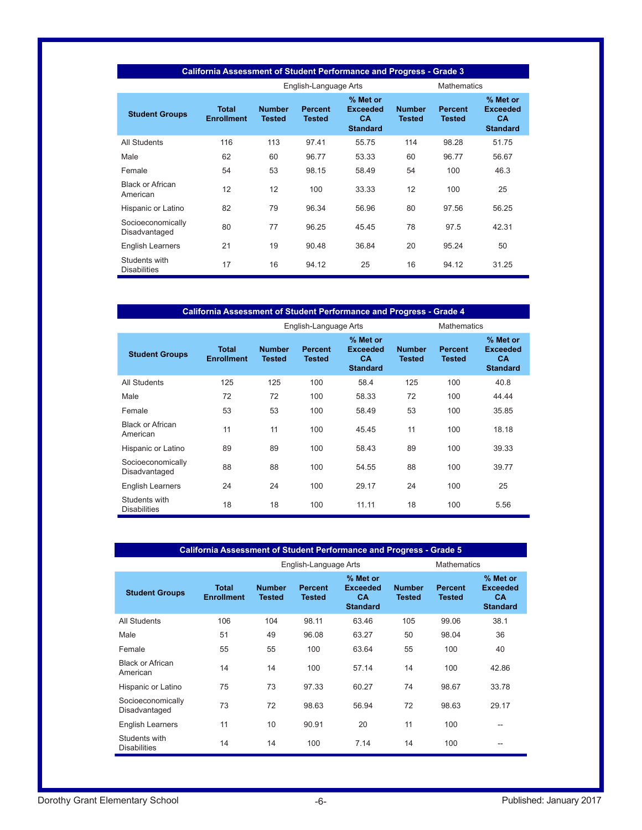| <b>California Assessment of Student Performance and Progress - Grade 3</b> |                                   |                                |                                 |                                                      |                                |                                 |                                                             |  |
|----------------------------------------------------------------------------|-----------------------------------|--------------------------------|---------------------------------|------------------------------------------------------|--------------------------------|---------------------------------|-------------------------------------------------------------|--|
|                                                                            |                                   | English-Language Arts          | <b>Mathematics</b>              |                                                      |                                |                                 |                                                             |  |
| <b>Student Groups</b>                                                      | <b>Total</b><br><b>Enrollment</b> | <b>Number</b><br><b>Tested</b> | <b>Percent</b><br><b>Tested</b> | % Met or<br><b>Exceeded</b><br>CA<br><b>Standard</b> | <b>Number</b><br><b>Tested</b> | <b>Percent</b><br><b>Tested</b> | % Met or<br><b>Exceeded</b><br><b>CA</b><br><b>Standard</b> |  |
| <b>All Students</b>                                                        | 116                               | 113                            | 97.41                           | 55.75                                                | 114                            | 98.28                           | 51.75                                                       |  |
| Male                                                                       | 62                                | 60                             | 96.77                           | 53.33                                                | 60                             | 96.77                           | 56.67                                                       |  |
| Female                                                                     | 54                                | 53                             | 98.15                           | 58.49                                                | 54                             | 100                             | 46.3                                                        |  |
| <b>Black or African</b><br>American                                        | 12                                | 12                             | 100                             | 33.33                                                | 12                             | 100                             | 25                                                          |  |
| Hispanic or Latino                                                         | 82                                | 79                             | 96.34                           | 56.96                                                | 80                             | 97.56                           | 56.25                                                       |  |
| Socioeconomically<br>Disadvantaged                                         | 80                                | 77                             | 96.25                           | 45.45                                                | 78                             | 97.5                            | 42.31                                                       |  |
| <b>English Learners</b>                                                    | 21                                | 19                             | 90.48                           | 36.84                                                | 20                             | 95.24                           | 50                                                          |  |
| Students with<br><b>Disabilities</b>                                       | 17                                | 16                             | 94.12                           | 25                                                   | 16                             | 94.12                           | 31.25                                                       |  |

| California Assessment of Student Performance and Progress - Grade 4 |                                   |                                |                          |                                                             |                                |                          |                                                             |  |
|---------------------------------------------------------------------|-----------------------------------|--------------------------------|--------------------------|-------------------------------------------------------------|--------------------------------|--------------------------|-------------------------------------------------------------|--|
|                                                                     |                                   | English-Language Arts          |                          | <b>Mathematics</b>                                          |                                |                          |                                                             |  |
| <b>Student Groups</b>                                               | <b>Total</b><br><b>Enrollment</b> | <b>Number</b><br><b>Tested</b> | <b>Percent</b><br>Tested | % Met or<br><b>Exceeded</b><br><b>CA</b><br><b>Standard</b> | <b>Number</b><br><b>Tested</b> | <b>Percent</b><br>Tested | % Met or<br><b>Exceeded</b><br><b>CA</b><br><b>Standard</b> |  |
| All Students                                                        | 125                               | 125                            | 100                      | 58.4                                                        | 125                            | 100                      | 40.8                                                        |  |
| Male                                                                | 72                                | 72                             | 100                      | 58.33                                                       | 72                             | 100                      | 44.44                                                       |  |
| Female                                                              | 53                                | 53                             | 100                      | 58.49                                                       | 53                             | 100                      | 35.85                                                       |  |
| <b>Black or African</b><br>American                                 | 11                                | 11                             | 100                      | 45.45                                                       | 11                             | 100                      | 18.18                                                       |  |
| Hispanic or Latino                                                  | 89                                | 89                             | 100                      | 58.43                                                       | 89                             | 100                      | 39.33                                                       |  |
| Socioeconomically<br>Disadvantaged                                  | 88                                | 88                             | 100                      | 54.55                                                       | 88                             | 100                      | 39.77                                                       |  |
| <b>English Learners</b>                                             | 24                                | 24                             | 100                      | 29.17                                                       | 24                             | 100                      | 25                                                          |  |
| Students with<br><b>Disabilities</b>                                | 18                                | 18                             | 100                      | 11.11                                                       | 18                             | 100                      | 5.56                                                        |  |

| California Assessment of Student Performance and Progress - Grade 5 |                                   |                                |                          |                                                      |                                |                          |                                                             |  |
|---------------------------------------------------------------------|-----------------------------------|--------------------------------|--------------------------|------------------------------------------------------|--------------------------------|--------------------------|-------------------------------------------------------------|--|
|                                                                     | English-Language Arts             |                                |                          |                                                      |                                |                          |                                                             |  |
| <b>Student Groups</b>                                               | <b>Total</b><br><b>Enrollment</b> | <b>Number</b><br><b>Tested</b> | <b>Percent</b><br>Tested | % Met or<br><b>Exceeded</b><br>CA<br><b>Standard</b> | <b>Number</b><br><b>Tested</b> | <b>Percent</b><br>Tested | % Met or<br><b>Exceeded</b><br><b>CA</b><br><b>Standard</b> |  |
| <b>All Students</b>                                                 | 106                               | 104                            | 98.11                    | 63.46                                                | 105                            | 99.06                    | 38.1                                                        |  |
| Male                                                                | 51                                | 49                             | 96.08                    | 63.27                                                | 50                             | 98.04                    | 36                                                          |  |
| Female                                                              | 55                                | 55                             | 100                      | 63.64                                                | 55                             | 100                      | 40                                                          |  |
| <b>Black or African</b><br>American                                 | 14                                | 14                             | 100                      | 57.14                                                | 14                             | 100                      | 42.86                                                       |  |
| Hispanic or Latino                                                  | 75                                | 73                             | 97.33                    | 60.27                                                | 74                             | 98.67                    | 33.78                                                       |  |
| Socioeconomically<br>Disadvantaged                                  | 73                                | 72                             | 98.63                    | 56.94                                                | 72                             | 98.63                    | 29.17                                                       |  |
| English Learners                                                    | 11                                | 10                             | 90.91                    | 20                                                   | 11                             | 100                      | --                                                          |  |
| Students with<br><b>Disabilities</b>                                | 14                                | 14                             | 100                      | 7.14                                                 | 14                             | 100                      | --                                                          |  |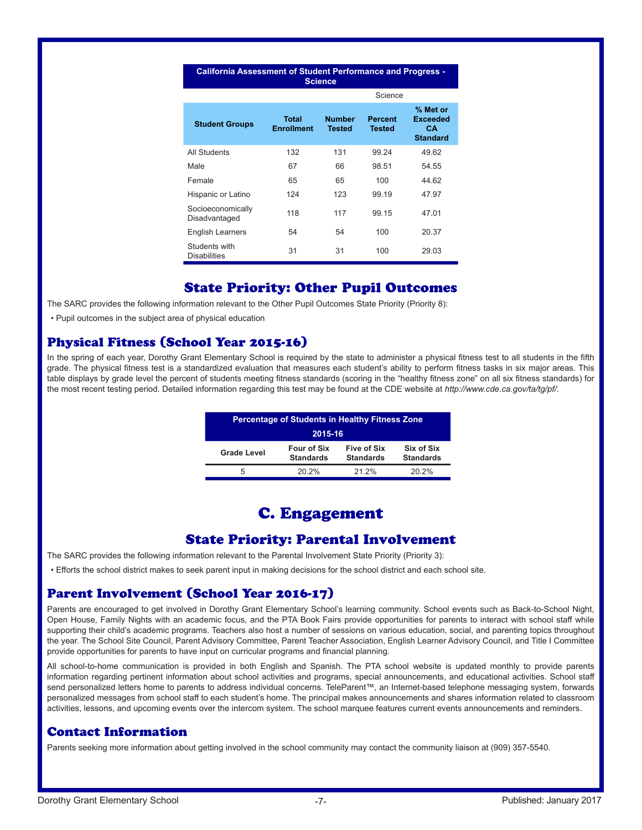| <b>California Assessment of Student Performance and Progress -</b><br><b>Science</b> |                            |                                |                          |                                                             |  |  |  |  |  |
|--------------------------------------------------------------------------------------|----------------------------|--------------------------------|--------------------------|-------------------------------------------------------------|--|--|--|--|--|
|                                                                                      |                            |                                | Science                  |                                                             |  |  |  |  |  |
| <b>Student Groups</b>                                                                | Total<br><b>Enrollment</b> | <b>Number</b><br><b>Tested</b> | <b>Percent</b><br>Tested | % Met or<br><b>Exceeded</b><br><b>CA</b><br><b>Standard</b> |  |  |  |  |  |
| All Students                                                                         | 132                        | 131                            | 99.24                    | 49.62                                                       |  |  |  |  |  |
| Male                                                                                 | 67                         | 66                             | 98.51                    | 54.55                                                       |  |  |  |  |  |
| Female                                                                               | 65                         | 65                             | 100                      | 44.62                                                       |  |  |  |  |  |
| Hispanic or Latino                                                                   | 124                        | 123                            | 99.19                    | 47.97                                                       |  |  |  |  |  |
| Socioeconomically<br>Disadvantaged                                                   | 118                        | 117                            | 99.15                    | 47.01                                                       |  |  |  |  |  |
| <b>English Learners</b>                                                              | 54                         | 54                             | 100                      | 20.37                                                       |  |  |  |  |  |
| Students with<br><b>Disabilities</b>                                                 | 31                         | 31                             | 100                      | 29.03                                                       |  |  |  |  |  |

# State Priority: Other Pupil Outcomes

The SARC provides the following information relevant to the Other Pupil Outcomes State Priority (Priority 8):

• Pupil outcomes in the subject area of physical education

### Physical Fitness (School Year 2015-16)

In the spring of each year, Dorothy Grant Elementary School is required by the state to administer a physical fitness test to all students in the fifth grade. The physical fitness test is a standardized evaluation that measures each student's ability to perform fitness tasks in six major areas. This table displays by grade level the percent of students meeting fitness standards (scoring in the "healthy fitness zone" on all six fitness standards) for the most recent testing period. Detailed information regarding this test may be found at the CDE website at *http://www.cde.ca.gov/ta/tg/pf/*.

| <b>Percentage of Students in Healthy Fitness Zone</b> |                                        |                                 |                                |  |  |
|-------------------------------------------------------|----------------------------------------|---------------------------------|--------------------------------|--|--|
| 2015-16                                               |                                        |                                 |                                |  |  |
| <b>Grade Level</b>                                    | <b>Four of Six</b><br><b>Standards</b> | Five of Six<br><b>Standards</b> | Six of Six<br><b>Standards</b> |  |  |
| 5                                                     | 20.2%                                  | 21.2%                           | 20.2%                          |  |  |

# C. Engagement

#### State Priority: Parental Involvement

The SARC provides the following information relevant to the Parental Involvement State Priority (Priority 3):

• Efforts the school district makes to seek parent input in making decisions for the school district and each school site.

#### Parent Involvement (School Year 2016-17)

Parents are encouraged to get involved in Dorothy Grant Elementary School's learning community. School events such as Back-to-School Night, Open House, Family Nights with an academic focus, and the PTA Book Fairs provide opportunities for parents to interact with school staff while supporting their child's academic programs. Teachers also host a number of sessions on various education, social, and parenting topics throughout the year. The School Site Council, Parent Advisory Committee, Parent Teacher Association, English Learner Advisory Council, and Title I Committee provide opportunities for parents to have input on curricular programs and financial planning.

All school-to-home communication is provided in both English and Spanish. The PTA school website is updated monthly to provide parents information regarding pertinent information about school activities and programs, special announcements, and educational activities. School staff send personalized letters home to parents to address individual concerns. TeleParent™, an Internet-based telephone messaging system, forwards personalized messages from school staff to each student's home. The principal makes announcements and shares information related to classroom activities, lessons, and upcoming events over the intercom system. The school marquee features current events announcements and reminders.

#### Contact Information

Parents seeking more information about getting involved in the school community may contact the community liaison at (909) 357-5540.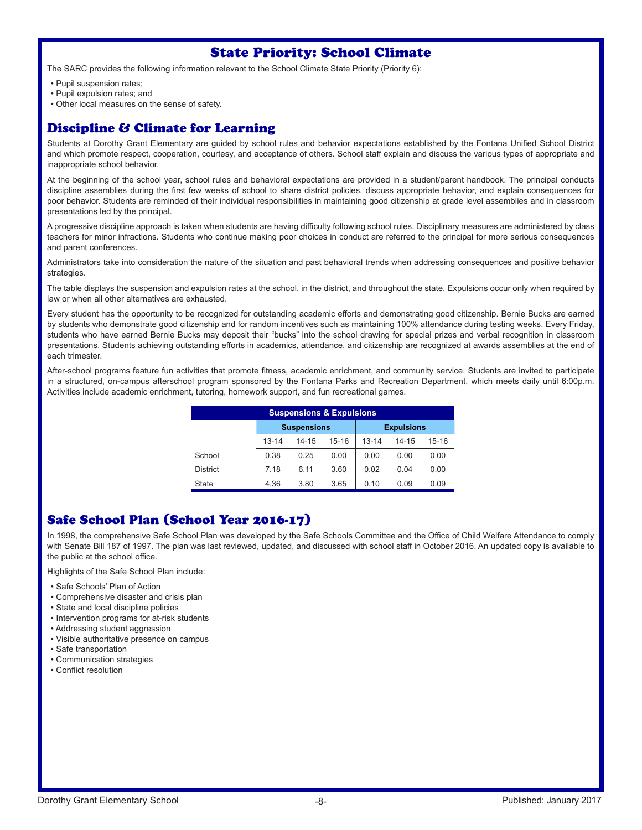# State Priority: School Climate

The SARC provides the following information relevant to the School Climate State Priority (Priority 6):

- Pupil suspension rates;
- Pupil expulsion rates; and
- Other local measures on the sense of safety.

# Discipline & Climate for Learning

Students at Dorothy Grant Elementary are guided by school rules and behavior expectations established by the Fontana Unified School District and which promote respect, cooperation, courtesy, and acceptance of others. School staff explain and discuss the various types of appropriate and inappropriate school behavior.

At the beginning of the school year, school rules and behavioral expectations are provided in a student/parent handbook. The principal conducts discipline assemblies during the first few weeks of school to share district policies, discuss appropriate behavior, and explain consequences for poor behavior. Students are reminded of their individual responsibilities in maintaining good citizenship at grade level assemblies and in classroom presentations led by the principal.

A progressive discipline approach is taken when students are having difficulty following school rules. Disciplinary measures are administered by class teachers for minor infractions. Students who continue making poor choices in conduct are referred to the principal for more serious consequences and parent conferences.

Administrators take into consideration the nature of the situation and past behavioral trends when addressing consequences and positive behavior strategies.

The table displays the suspension and expulsion rates at the school, in the district, and throughout the state. Expulsions occur only when required by law or when all other alternatives are exhausted.

Every student has the opportunity to be recognized for outstanding academic efforts and demonstrating good citizenship. Bernie Bucks are earned by students who demonstrate good citizenship and for random incentives such as maintaining 100% attendance during testing weeks. Every Friday, students who have earned Bernie Bucks may deposit their "bucks" into the school drawing for special prizes and verbal recognition in classroom presentations. Students achieving outstanding efforts in academics, attendance, and citizenship are recognized at awards assemblies at the end of each trimester.

After-school programs feature fun activities that promote fitness, academic enrichment, and community service. Students are invited to participate in a structured, on-campus afterschool program sponsored by the Fontana Parks and Recreation Department, which meets daily until 6:00p.m. Activities include academic enrichment, tutoring, homework support, and fun recreational games.

| <b>Suspensions &amp; Expulsions</b> |           |                    |           |                   |       |           |  |  |
|-------------------------------------|-----------|--------------------|-----------|-------------------|-------|-----------|--|--|
|                                     |           | <b>Suspensions</b> |           | <b>Expulsions</b> |       |           |  |  |
|                                     | $13 - 14$ | 14-15              | $15 - 16$ | $13 - 14$         | 14-15 | $15 - 16$ |  |  |
| School                              | 0.38      | 0.25               | 0.00      | 0.00              | 0.00  | 0.00      |  |  |
| <b>District</b>                     | 7.18      | 6.11               | 3.60      | 0.02              | 0.04  | 0.00      |  |  |
| State                               | 4.36      | 3.80               | 3.65      | 0.10              | 0.09  | 0.09      |  |  |

# Safe School Plan (School Year 2016-17)

In 1998, the comprehensive Safe School Plan was developed by the Safe Schools Committee and the Office of Child Welfare Attendance to comply with Senate Bill 187 of 1997. The plan was last reviewed, updated, and discussed with school staff in October 2016. An updated copy is available to the public at the school office.

Highlights of the Safe School Plan include:

- Safe Schools' Plan of Action
- Comprehensive disaster and crisis plan
- State and local discipline policies
- Intervention programs for at-risk students
- Addressing student aggression
- Visible authoritative presence on campus
- Safe transportation
- Communication strategies
- Conflict resolution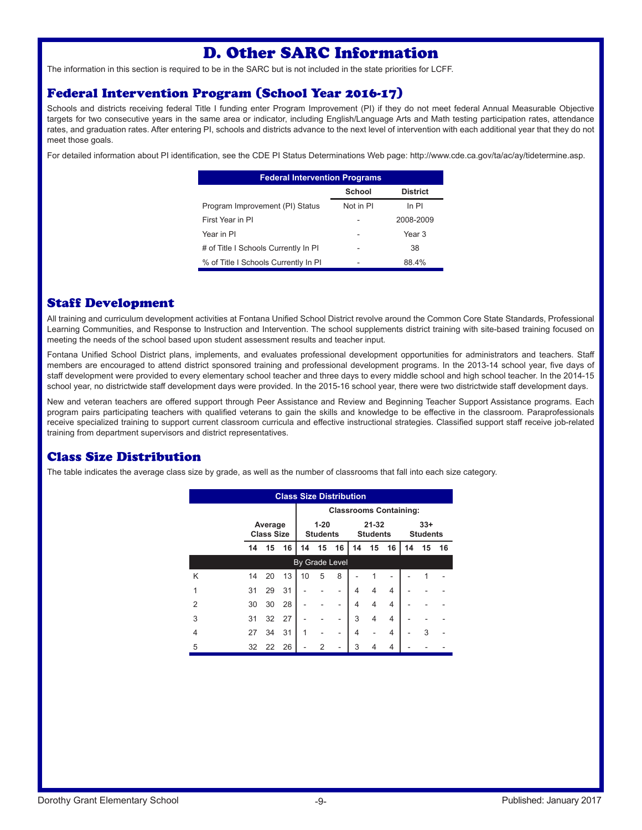# D. Other SARC Information

The information in this section is required to be in the SARC but is not included in the state priorities for LCFF.

### Federal Intervention Program (School Year 2016-17)

Schools and districts receiving federal Title I funding enter Program Improvement (PI) if they do not meet federal Annual Measurable Objective targets for two consecutive years in the same area or indicator, including English/Language Arts and Math testing participation rates, attendance rates, and graduation rates. After entering PI, schools and districts advance to the next level of intervention with each additional year that they do not meet those goals.

For detailed information about PI identification, see the CDE PI Status Determinations Web page: http://www.cde.ca.gov/ta/ac/ay/tidetermine.asp.

| <b>Federal Intervention Programs</b> |           |                 |  |  |  |  |
|--------------------------------------|-----------|-----------------|--|--|--|--|
|                                      | School    | <b>District</b> |  |  |  |  |
| Program Improvement (PI) Status      | Not in PI | $ln$ PI         |  |  |  |  |
| First Year in PI                     |           | 2008-2009       |  |  |  |  |
| Year in PI                           |           | Year 3          |  |  |  |  |
| # of Title I Schools Currently In PI | -         | 38              |  |  |  |  |
| % of Title I Schools Currently In PI |           | 88.4%           |  |  |  |  |

# Staff Development

All training and curriculum development activities at Fontana Unified School District revolve around the Common Core State Standards, Professional Learning Communities, and Response to Instruction and Intervention. The school supplements district training with site-based training focused on meeting the needs of the school based upon student assessment results and teacher input.

Fontana Unified School District plans, implements, and evaluates professional development opportunities for administrators and teachers. Staff members are encouraged to attend district sponsored training and professional development programs. In the 2013-14 school year, five days of staff development were provided to every elementary school teacher and three days to every middle school and high school teacher. In the 2014-15 school year, no districtwide staff development days were provided. In the 2015-16 school year, there were two districtwide staff development days.

New and veteran teachers are offered support through Peer Assistance and Review and Beginning Teacher Support Assistance programs. Each program pairs participating teachers with qualified veterans to gain the skills and knowledge to be effective in the classroom. Paraprofessionals receive specialized training to support current classroom curricula and effective instructional strategies. Classified support staff receive job-related training from department supervisors and district representatives.

# Class Size Distribution

The table indicates the average class size by grade, as well as the number of classrooms that fall into each size category.

| <b>Class Size Distribution</b> |                              |                               |                             |                       |                              |    |                          |    |    |    |    |    |
|--------------------------------|------------------------------|-------------------------------|-----------------------------|-----------------------|------------------------------|----|--------------------------|----|----|----|----|----|
|                                |                              | <b>Classrooms Containing:</b> |                             |                       |                              |    |                          |    |    |    |    |    |
|                                | Average<br><b>Class Size</b> |                               | $1 - 20$<br><b>Students</b> |                       | $21 - 32$<br><b>Students</b> |    | $33+$<br><b>Students</b> |    |    |    |    |    |
|                                | 14                           | 15                            | 16                          | 14                    | 15                           | 16 | 14                       | 15 | 16 | 14 | 15 | 16 |
|                                |                              |                               |                             | <b>By Grade Level</b> |                              |    |                          |    |    |    |    |    |
| Κ                              | 14                           | 20                            | 13                          | 10                    | 5                            | 8  |                          |    |    |    |    |    |
| 1                              | 31                           | 29                            | 31                          |                       |                              |    | 4                        | 4  | 4  |    |    |    |
| $\mathfrak{p}$                 | 30                           | 30                            | 28                          |                       |                              |    | 4                        | 4  | 4  |    |    |    |
| 3                              | 31                           | 32                            | 27                          |                       |                              |    | 3                        | 4  | 4  |    |    |    |
| 4                              | 27                           | 34                            | 31                          | 1                     |                              |    | 4                        |    | 4  |    | 3  |    |
| 5                              | 32                           | 22                            | 26                          |                       | 2                            |    | 3                        | 4  | 4  |    |    |    |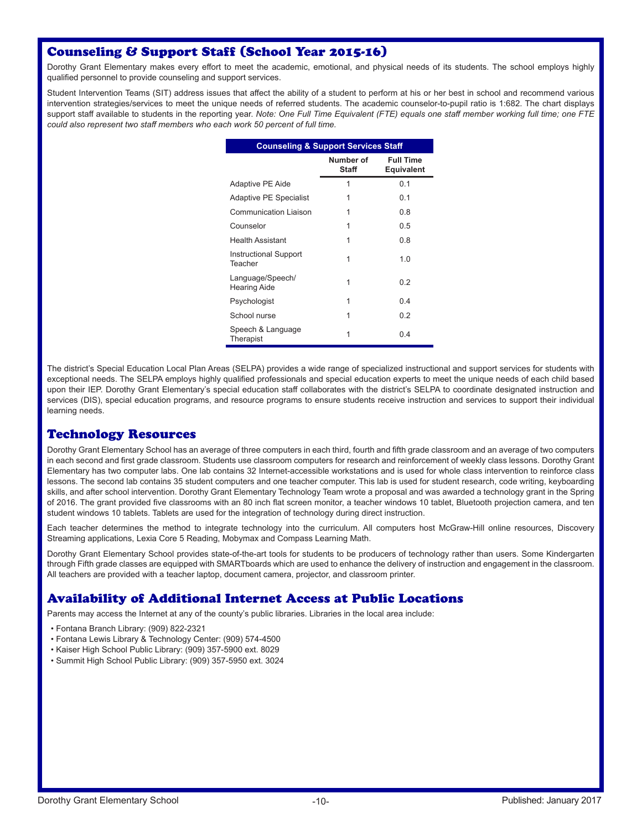# Counseling & Support Staff (School Year 2015-16)

Dorothy Grant Elementary makes every effort to meet the academic, emotional, and physical needs of its students. The school employs highly qualified personnel to provide counseling and support services.

Student Intervention Teams (SIT) address issues that affect the ability of a student to perform at his or her best in school and recommend various intervention strategies/services to meet the unique needs of referred students. The academic counselor-to-pupil ratio is 1:682. The chart displays support staff available to students in the reporting year. *Note: One Full Time Equivalent (FTE) equals one staff member working full time; one FTE could also represent two staff members who each work 50 percent of full time.*

| <b>Counseling &amp; Support Services Staff</b> |                                       |  |  |  |  |
|------------------------------------------------|---------------------------------------|--|--|--|--|
| Number of<br>Staff                             | <b>Full Time</b><br><b>Equivalent</b> |  |  |  |  |
| 1                                              | 0.1                                   |  |  |  |  |
| 1                                              | 0.1                                   |  |  |  |  |
| 1                                              | 0.8                                   |  |  |  |  |
| 1                                              | 0.5                                   |  |  |  |  |
| 1                                              | 0.8                                   |  |  |  |  |
| 1                                              | 1.0                                   |  |  |  |  |
| 1                                              | 0.2                                   |  |  |  |  |
| 1                                              | 0.4                                   |  |  |  |  |
| 1                                              | 0.2                                   |  |  |  |  |
| 1                                              | 0.4                                   |  |  |  |  |
|                                                |                                       |  |  |  |  |

The district's Special Education Local Plan Areas (SELPA) provides a wide range of specialized instructional and support services for students with exceptional needs. The SELPA employs highly qualified professionals and special education experts to meet the unique needs of each child based upon their IEP. Dorothy Grant Elementary's special education staff collaborates with the district's SELPA to coordinate designated instruction and services (DIS), special education programs, and resource programs to ensure students receive instruction and services to support their individual learning needs.

# Technology Resources

Dorothy Grant Elementary School has an average of three computers in each third, fourth and fifth grade classroom and an average of two computers in each second and first grade classroom. Students use classroom computers for research and reinforcement of weekly class lessons. Dorothy Grant Elementary has two computer labs. One lab contains 32 Internet-accessible workstations and is used for whole class intervention to reinforce class lessons. The second lab contains 35 student computers and one teacher computer. This lab is used for student research, code writing, keyboarding skills, and after school intervention. Dorothy Grant Elementary Technology Team wrote a proposal and was awarded a technology grant in the Spring of 2016. The grant provided five classrooms with an 80 inch flat screen monitor, a teacher windows 10 tablet, Bluetooth projection camera, and ten student windows 10 tablets. Tablets are used for the integration of technology during direct instruction.

Each teacher determines the method to integrate technology into the curriculum. All computers host McGraw-Hill online resources, Discovery Streaming applications, Lexia Core 5 Reading, Mobymax and Compass Learning Math.

Dorothy Grant Elementary School provides state-of-the-art tools for students to be producers of technology rather than users. Some Kindergarten through Fifth grade classes are equipped with SMARTboards which are used to enhance the delivery of instruction and engagement in the classroom. All teachers are provided with a teacher laptop, document camera, projector, and classroom printer.

# Availability of Additional Internet Access at Public Locations

Parents may access the Internet at any of the county's public libraries. Libraries in the local area include:

- Fontana Branch Library: (909) 822-2321
- Fontana Lewis Library & Technology Center: (909) 574-4500
- Kaiser High School Public Library: (909) 357-5900 ext. 8029
- Summit High School Public Library: (909) 357-5950 ext. 3024